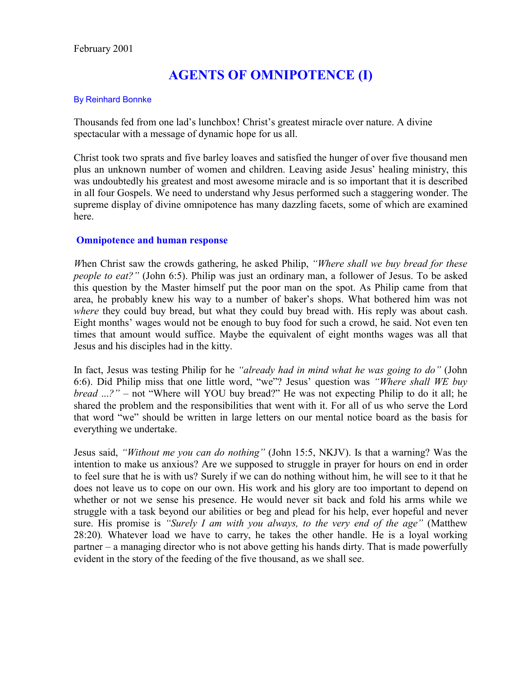# **AGENTS OF OMNIPOTENCE (I)**

#### By Reinhard Bonnke

Thousands fed from one lad's lunchbox! Christ's greatest miracle over nature. A divine spectacular with a message of dynamic hope for us all.

Christ took two sprats and five barley loaves and satisfied the hunger of over five thousand men plus an unknown number of women and children. Leaving aside Jesus' healing ministry, this was undoubtedly his greatest and most awesome miracle and is so important that it is described in all four Gospels. We need to understand why Jesus performed such a staggering wonder. The supreme display of divine omnipotence has many dazzling facets, some of which are examined here.

## **Omnipotence and human response**

*W*hen Christ saw the crowds gathering, he asked Philip, *" Where shall we buy bread for these people to eat?"* (John 6:5). Philip was just an ordinary man, a follower of Jesus. To be asked this question by the Master himself put the poor man on the spot. As Philip came from that area, he probably knew his way to a number of baker's shops. What bothered him was not *where* they could buy bread, but what they could buy bread with. His reply was about cash. Eight months' wages would not be enough to buy food for such a crowd, he said. Not even ten times that amount would suffice. Maybe the equivalent of eight months wages was all that Jesus and his disciples had in the kitty.

In fact, Jesus was testing Philip for he *" already had in mind what he was going to do"* (John 6:6). Did Philip miss that one little word, "we"? Jesus' question was *" Where shall WE buy bread* ...*?"* – not "Where will YOU buy bread?" He was not expecting Philip to do it all; he shared the problem and the responsibilities that went with it. For all of us who serve the Lord that word "we" should be written in large letters on our mental notice board as the basis for everything we undertake.

Jesus said, *" Without me you can do nothing"* (John 15:5, NKJV). Is that a warning? Was the intention to make us anxious? Are we supposed to struggle in prayer for hours on end in order to feel sure that he is with us? Surely if we can do nothing without him, he will see to it that he does not leave us to cope on our own. His work and his glory are too important to depend on whether or not we sense his presence. He would never sit back and fold his arms while we struggle with a task beyond our abilities or beg and plead for his help, ever hopeful and never sure. His promise is *" Surely I am with you always, to the very end of the age"* (Matthew 28:20)*.* Whatever load we have to carry, he takes the other handle. He is a loyal working partner – a managing director who is not above getting his hands dirty. That is made powerfully evident in the story of the feeding of the five thousand, as we shall see.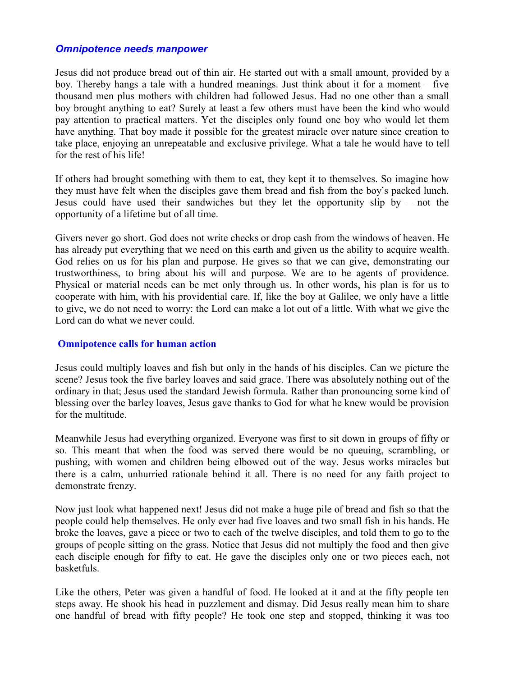## *Omnipotence needs manpower*

Jesus did not produce bread out of thin air. He started out with a small amount, provided by a boy. Thereby hangs a tale with a hundred meanings. Just think about it for a moment – five thousand men plus mothers with children had followed Jesus. Had no one other than a small boy brought anything to eat? Surely at least a few others must have been the kind who would pay attention to practical matters. Yet the disciples only found one boy who would let them have anything. That boy made it possible for the greatest miracle over nature since creation to take place, enjoying an unrepeatable and exclusive privilege. What a tale he would have to tell for the rest of his life!

If others had brought something with them to eat, they kept it to themselves. So imagine how they must have felt when the disciples gave them bread and fish from the boy's packed lunch. Jesus could have used their sandwiches but they let the opportunity slip by – not the opportunity of a lifetime but of all time.

Givers never go short. God does not write checks or drop cash from the windows of heaven. He has already put everything that we need on this earth and given us the ability to acquire wealth. God relies on us for his plan and purpose. He gives so that we can give, demonstrating our trustworthiness, to bring about his will and purpose. We are to be agents of providence. Physical or material needs can be met only through us. In other words, his plan is for us to cooperate with him, with his providential care. If, like the boy at Galilee, we only have a little to give, we do not need to worry: the Lord can make a lot out of a little. With what we give the Lord can do what we never could.

#### **Omnipotence calls for human action**

Jesus could multiply loaves and fish but only in the hands of his disciples. Can we picture the scene? Jesus took the five barley loaves and said grace. There was absolutely nothing out of the ordinary in that; Jesus used the standard Jewish formula. Rather than pronouncing some kind of blessing over the barley loaves, Jesus gave thanks to God for what he knew would be provision for the multitude

Meanwhile Jesus had everything organized. Everyone was first to sit down in groups of fifty or so. This meant that when the food was served there would be no queuing, scrambling, or pushing, with women and children being elbowed out of the way. Jesus works miracles but there is a calm, unhurried rationale behind it all. There is no need for any faith project to demonstrate frenzy.

Now just look what happened next! Jesus did not make a huge pile of bread and fish so that the people could help themselves. He only ever had five loaves and two small fish in his hands. He broke the loaves, gave a piece or two to each of the twelve disciples, and told them to go to the groups of people sitting on the grass. Notice that Jesus did not multiply the food and then give each disciple enough for fifty to eat. He gave the disciples only one or two pieces each, not basketfuls.

Like the others, Peter was given a handful of food. He looked at it and at the fifty people ten steps away. He shook his head in puzzlement and dismay. Did Jesus really mean him to share one handful of bread with fifty people? He took one step and stopped, thinking it was too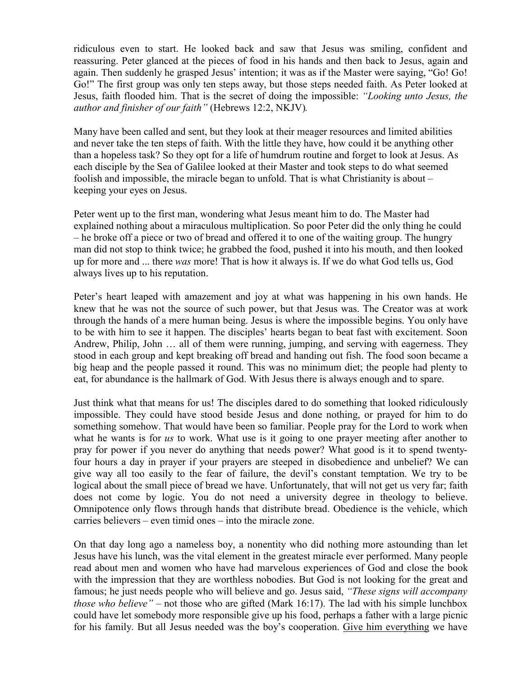ridiculous even to start. He looked back and saw that Jesus was smiling, confident and reassuring. Peter glanced at the pieces of food in his hands and then back to Jesus, again and again. Then suddenly he grasped Jesus' intention; it was as if the Master were saying, "Go! Go! Go!" The first group was only ten steps away, but those steps needed faith. As Peter looked at Jesus, faith flooded him. That is the secret of doing the impossible: *" Looking unto Jesus, the author and finisher of our faith"* (Hebrews 12:2, NKJV)*.* 

Many have been called and sent, but they look at their meager resources and limited abilities and never take the ten steps of faith. With the little they have, how could it be anything other than a hopeless task? So they opt for a life of humdrum routine and forget to look at Jesus. As each disciple by the Sea of Galilee looked at their Master and took steps to do what seemed foolish and impossible, the miracle began to unfold. That is what Christianity is about – keeping your eyes on Jesus.

Peter went up to the first man, wondering what Jesus meant him to do. The Master had explained nothing about a miraculous multiplication. So poor Peter did the only thing he could – he broke off a piece or two of bread and offered it to one of the waiting group. The hungry man did not stop to think twice; he grabbed the food, pushed it into his mouth, and then looked up for more and ... there *was* more! That is how it always is. If we do what God tells us, God always lives up to his reputation.

Peter's heart leaped with amazement and joy at what was happening in his own hands. He knew that he was not the source of such power, but that Jesus was. The Creator was at work through the hands of a mere human being. Jesus is where the impossible begins. You only have to be with him to see it happen. The disciples' hearts began to beat fast with excitement. Soon Andrew, Philip, John … all of them were running, jumping, and serving with eagerness. They stood in each group and kept breaking off bread and handing out fish. The food soon became a big heap and the people passed it round. This was no minimum diet; the people had plenty to eat, for abundance is the hallmark of God. With Jesus there is always enough and to spare.

Just think what that means for us! The disciples dared to do something that looked ridiculously impossible. They could have stood beside Jesus and done nothing, or prayed for him to do something somehow. That would have been so familiar. People pray for the Lord to work when what he wants is for *us* to work. What use is it going to one prayer meeting after another to pray for power if you never do anything that needs power? What good is it to spend twentyfour hours a day in prayer if your prayers are steeped in disobedience and unbelief? We can give way all too easily to the fear of failure, the devil's constant temptation. We try to be logical about the small piece of bread we have. Unfortunately, that will not get us very far; faith does not come by logic. You do not need a university degree in theology to believe. Omnipotence only flows through hands that distribute bread. Obedience is the vehicle, which carries believers – even timid ones – into the miracle zone.

On that day long ago a nameless boy, a nonentity who did nothing more astounding than let Jesus have his lunch, was the vital element in the greatest miracle ever performed. Many people read about men and women who have had marvelous experiences of God and close the book with the impression that they are worthless nobodies. But God is not looking for the great and famous; he just needs people who will believe and go. Jesus said, *" These signs will accompany those who believe"* – not those who are gifted (Mark 16:17). The lad with his simple lunchbox could have let somebody more responsible give up his food, perhaps a father with a large picnic for his family. But all Jesus needed was the boy's cooperation. Give him everything we have